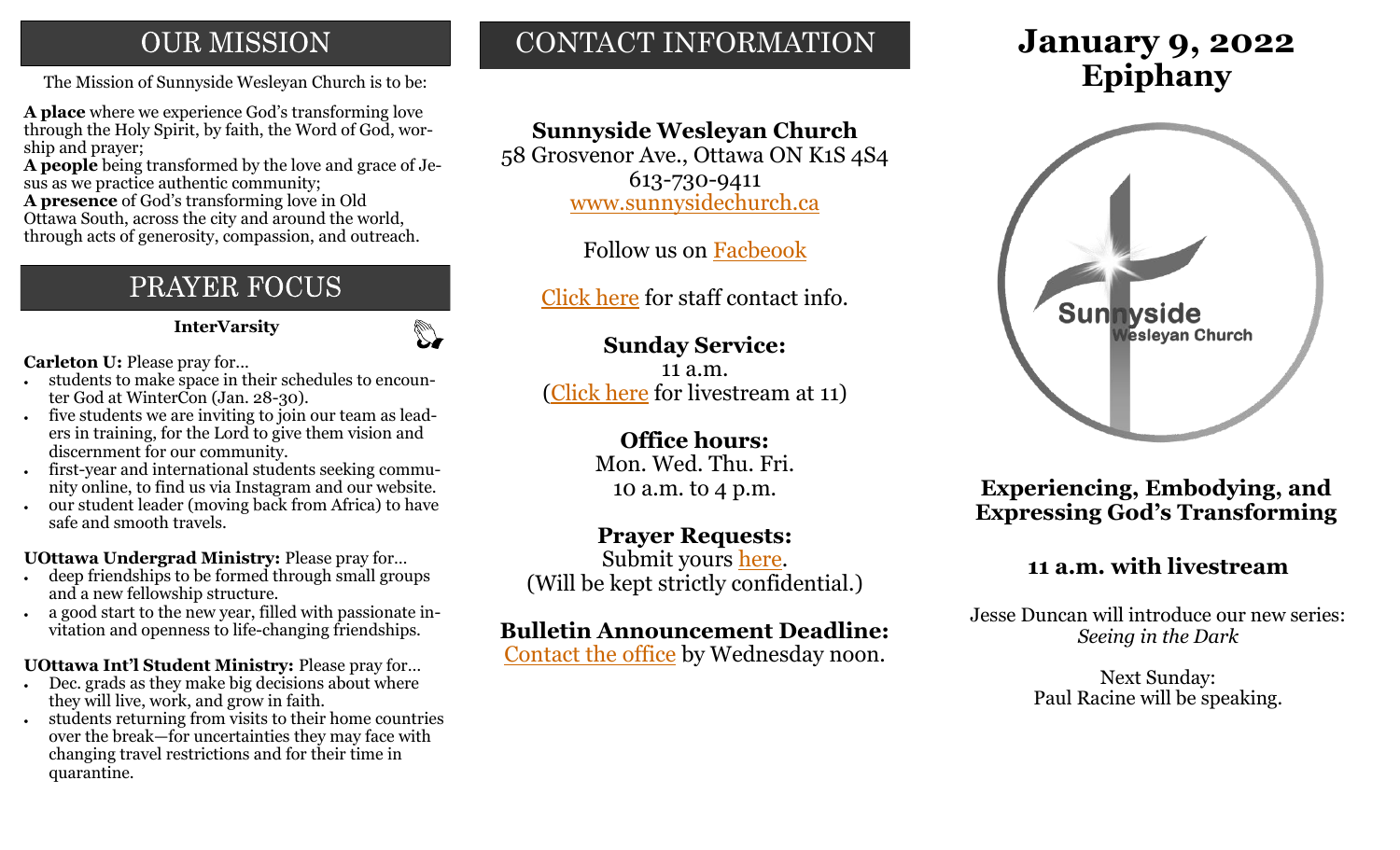## **OUR MISSION**

The Mission of Sunnyside Wesleyan Church is to be: **Epiphany** 

**A place** where we experience God's transforming love through the Holy Spirit, by faith, the Word of God, worship and prayer;

**A people** being transformed by the love and grace of Jesus as we practice authentic community;

**A presence** of God's transforming love in Old Ottawa South, across the city and around the world, through acts of generosity, compassion, and outreach.

## PRAYER FOCUS

**InterVarsity**

 $\mathbb{C}$ 

**Carleton U:** Please pray for...

- students to make space in their schedules to encounter God at WinterCon (Jan. 28-30).
- five students we are inviting to join our team as leaders in training, for the Lord to give them vision and discernment for our community.
- first-year and international students seeking community online, to find us via Instagram and our website.
- our student leader (moving back from Africa) to have safe and smooth travels.

**UOttawa Undergrad Ministry:** Please pray for…

- deep friendships to be formed through small groups and a new fellowship structure.
- a good start to the new year, filled with passionate invitation and openness to life-changing friendships.

**UOttawa Int'l Student Ministry:** Please pray for…

- Dec. grads as they make big decisions about where they will live, work, and grow in faith.
- students returning from visits to their home countries over the break—for uncertainties they may face with changing travel restrictions and for their time in quarantine.

## CONTACT INFORMATION

## **Sunnyside Wesleyan Church**

58 Grosvenor Ave., Ottawa ON K1S 4S4 613-730-9411 [www.sunnysidechurch.ca](http://www.sunnysidechurch.ca)

Follow us on [Facbeook](http://www.facebook.com/sunnysidewesleyanchurch)

[Click here](http://www.sunnysidechurch.ca/about-sunnyside/staff/) for staff contact info.

## **Sunday Service:**

11 a.m. ([Click here](https://youtube.com/channel/UCYfl9Qy37Az7fqqFQpDEwjg) for livestream at 11)

## **Office hours:**

Mon. Wed. Thu. Fri. 10 a.m. to 4 p.m.

## **Prayer Requests:**

Submit yours [here.](mailto:prayer@sunnysidechurch.ca) (Will be kept strictly confidential.)

## **Bulletin Announcement Deadline:**

[Contact the office](mailto:office@sunnysidechurch.ca) by Wednesday noon.

# **January 9, 2022**



**Experiencing, Embodying, and Expressing God's Transforming** 

## **11 a.m. with livestream**

Jesse Duncan will introduce our new series: *Seeing in the Dark*

> Next Sunday: Paul Racine will be speaking.